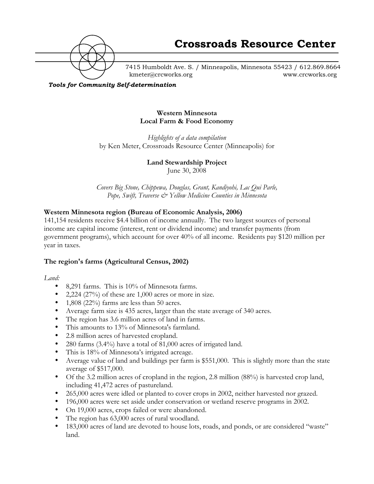

7415 Humboldt Ave. S. / Minneapolis, Minnesota 55423 / 612.869.8664 kmeter@crcworks.org www.crcworks.org

*Tools for Community Self-determination*

#### **Western Minnesota Local Farm & Food Economy**

*Highlights of a data compilation* by Ken Meter, Crossroads Resource Center (Minneapolis) for

#### **Land Stewardship Project**

June 30, 2008

*Covers Big Stone, Chippewa, Douglas, Grant, Kandiyohi, Lac Qui Parle, Pope, Swift, Traverse & Yellow Medicine Counties in Minnesota*

#### **Western Minnesota region (Bureau of Economic Analysis, 2006)**

141,154 residents receive \$4.4 billion of income annually. The two largest sources of personal income are capital income (interest, rent or dividend income) and transfer payments (from government programs), which account for over 40% of all income. Residents pay \$120 million per year in taxes.

#### **The region's farms (Agricultural Census, 2002)**

*Land:*

land.

8,291 farms. This is 10% of Minnesota farms. 2,224 (27%) of these are 1,000 acres or more in size. 1,808 (22%) farms are less than 50 acres. Average farm size is 435 acres, larger than the state average of 340 acres. The region has 3.6 million acres of land in farms. This amounts to 13% of Minnesota's farmland. 2.8 million acres of harvested cropland. 280 farms (3.4%) have a total of 81,000 acres of irrigated land. This is 18% of Minnesota's irrigated acreage. Average value of land and buildings per farm is \$551,000. This is slightly more than the state average of \$517,000. Of the 3.2 million acres of cropland in the region, 2.8 million (88%) is harvested crop land, including 41,472 acres of pastureland. 265,000 acres were idled or planted to cover crops in 2002, neither harvested nor grazed. 196,000 acres were set aside under conservation or wetland reserve programs in 2002. On 19,000 acres, crops failed or were abandoned. The region has 63,000 acres of rural woodland. 183,000 acres of land are devoted to house lots, roads, and ponds, or are considered "waste"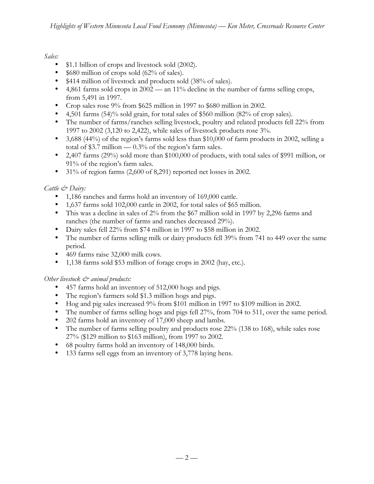## *Sales:*

\$1.1 billion of crops and livestock sold (2002).

\$680 million of crops sold (62% of sales).

\$414 million of livestock and products sold (38% of sales).

4,861 farms sold crops in 2002 — an 11% decline in the number of farms selling crops, from 5,491 in 1997.

Crop sales rose 9% from \$625 million in 1997 to \$680 million in 2002.

4,501 farms (54)% sold grain, for total sales of \$560 million (82% of crop sales).

The number of farms/ranches selling livestock, poultry and related products fell 22% from 1997 to 2002 (3,120 to 2,422), while sales of livestock products rose 3%.

3,688 (44%) of the region's farms sold less than \$10,000 of farm products in 2002, selling a total of \$3.7 million  $-0.3\%$  of the region's farm sales.

2,407 farms (29%) sold more than \$100,000 of products, with total sales of \$991 million, or 91% of the region's farm sales.

31% of region farms (2,600 of 8,291) reported net losses in 2002.

## *Cattle & Dairy:*

1,186 ranches and farms hold an inventory of 169,000 cattle.

1,637 farms sold 102,000 cattle in 2002, for total sales of \$65 million.

This was a decline in sales of 2% from the \$67 million sold in 1997 by 2,296 farms and

ranches (the number of farms and ranches decreased 29%).

Dairy sales fell 22% from \$74 million in 1997 to \$58 million in 2002.

The number of farms selling milk or dairy products fell 39% from 741 to 449 over the same period.

469 farms raise 32,000 milk cows.

1,138 farms sold \$53 million of forage crops in 2002 (hay, etc.).

*Other livestock & animal products:*

457 farms hold an inventory of 512,000 hogs and pigs.

The region's farmers sold \$1.3 million hogs and pigs.

Hog and pig sales increased 9% from \$101 million in 1997 to \$109 million in 2002.

The number of farms selling hogs and pigs fell 27%, from 704 to 511, over the same period. 202 farms hold an inventory of 17,000 sheep and lambs.

The number of farms selling poultry and products rose 22% (138 to 168), while sales rose

27% (\$129 million to \$163 million), from 1997 to 2002.

68 poultry farms hold an inventory of 148,000 birds.

133 farms sell eggs from an inventory of 3,778 laying hens.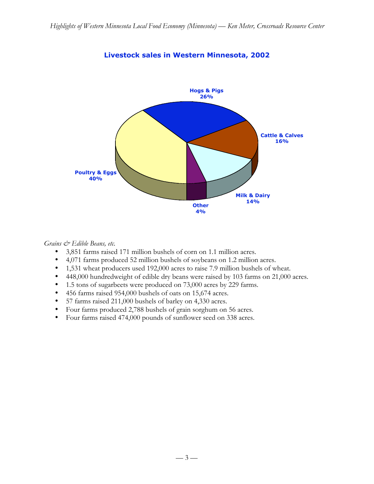

# **Livestock sales in Western Minnesota, 2002**

#### *Grains & Edible Beans, etc.*

3,851 farms raised 171 million bushels of corn on 1.1 million acres.

4,071 farms produced 52 million bushels of soybeans on 1.2 million acres.

1,531 wheat producers used 192,000 acres to raise 7.9 million bushels of wheat.

448,000 hundredweight of edible dry beans were raised by 103 farms on 21,000 acres.

1.5 tons of sugarbeets were produced on 73,000 acres by 229 farms.

456 farms raised 954,000 bushels of oats on 15,674 acres.

57 farms raised 211,000 bushels of barley on 4,330 acres.

Four farms produced 2,788 bushels of grain sorghum on 56 acres.

Four farms raised 474,000 pounds of sunflower seed on 338 acres.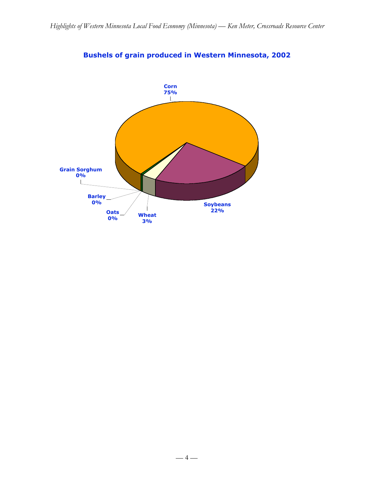

# **Bushels of grain produced in Western Minnesota, 2002**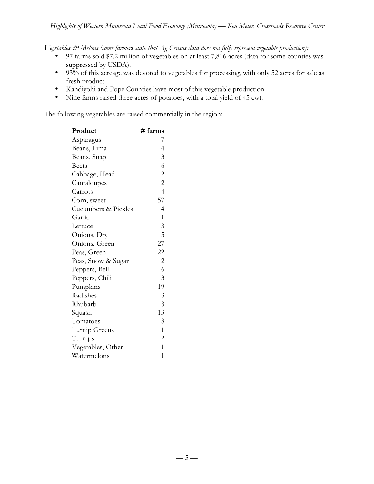*Vegetables & Melons (some farmers state that Ag Census data does not fully represent vegetable production):*

97 farms sold \$7.2 million of vegetables on at least 7,816 acres (data for some counties was suppressed by USDA).

93% of this acreage was devoted to vegetables for processing, with only 52 acres for sale as fresh product.

Kandiyohi and Pope Counties have most of this vegetable production.

Nine farms raised three acres of potatoes, with a total yield of 45 cwt.

The following vegetables are raised commercially in the region:

| Product             | # farms                     |
|---------------------|-----------------------------|
| Asparagus           | 7                           |
| Beans, Lima         | $\overline{4}$              |
| Beans, Snap         | $\ensuremath{\mathfrak{Z}}$ |
| <b>Beets</b>        | 6                           |
| Cabbage, Head       | $\overline{c}$              |
| Cantaloupes         | $\overline{c}$              |
| Carrots             | $\overline{4}$              |
| Corn, sweet         | 57                          |
| Cucumbers & Pickles | $\overline{4}$              |
| Garlic              | $\mathbf{1}$                |
| Lettuce             | $\mathfrak{Z}$              |
| Onions, Dry         | 5                           |
| Onions, Green       | 27                          |
| Peas, Green         | 22                          |
| Peas, Snow & Sugar  | $\overline{c}$              |
| Peppers, Bell       | 6                           |
| Peppers, Chili      | 3                           |
| Pumpkins            | 19                          |
| Radishes            | $\mathfrak{Z}$              |
| Rhubarb             | 3                           |
| Squash              | 13                          |
| Tomatoes            | 8                           |
| Turnip Greens       | $\mathbf{1}$                |
| Turnips             | $\overline{c}$              |
| Vegetables, Other   | $\mathbf{1}$                |
| Watermelons         | $\mathbf 1$                 |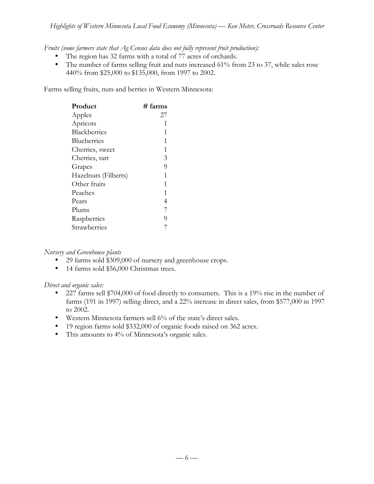*Fruits (some farmers state that Ag Census data does not fully represent fruit production):*

The region has 32 farms with a total of 77 acres of orchards.

The number of farms selling fruit and nuts increased 61% from 23 to 37, while sales rose 440% from \$25,000 to \$135,000, from 1997 to 2002.

Farms selling fruits, nuts and berries in Western Minnesota:

| Product              | # farms |
|----------------------|---------|
| Apples               | 27      |
| Apricots             | 1       |
| Blackberries         | 1       |
| <b>Blueberries</b>   | 1       |
| Cherries, sweet      | 1       |
| Cherries, tart       | 3       |
| Grapes               | 9       |
| Hazelnuts (Filberts) | 1       |
| Other fruits         | 1       |
| Peaches              | 1       |
| Pears                | 4       |
| Plums                | 7       |
| Raspberries          | 9       |
| Strawberries         |         |

#### *Nursery and Greenhouse plants*

29 farms sold \$309,000 of nursery and greenhouse crops. 14 farms sold \$56,000 Christmas trees.

#### *Direct and organic sales:*

227 farms sell \$704,000 of food directly to consumers. This is a 19% rise in the number of farms (191 in 1997) selling direct, and a 22% increase in direct sales, from \$577,000 in 1997 to 2002.

Western Minnesota farmers sell 6% of the state's direct sales.

19 region farms sold \$332,000 of organic foods raised on 362 acres.

This amounts to 4% of Minnesota's organic sales.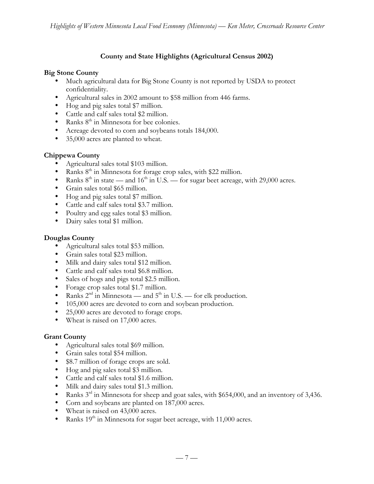## **County and State Highlights (Agricultural Census 2002)**

#### **Big Stone County**

Much agricultural data for Big Stone County is not reported by USDA to protect confidentiality. Agricultural sales in 2002 amount to \$58 million from 446 farms. Hog and pig sales total \$7 million. Cattle and calf sales total \$2 million. Ranks 8<sup>th</sup> in Minnesota for bee colonies. Acreage devoted to corn and soybeans totals 184,000. 35,000 acres are planted to wheat.

#### **Chippewa County**

Agricultural sales total \$103 million. Ranks 8<sup>th</sup> in Minnesota for forage crop sales, with \$22 million. Ranks  $8<sup>th</sup>$  in state — and  $16<sup>th</sup>$  in U.S. — for sugar beet acreage, with 29,000 acres. Grain sales total \$65 million. Hog and pig sales total \$7 million. Cattle and calf sales total \$3.7 million. Poultry and egg sales total \$3 million. Dairy sales total \$1 million.

#### **Douglas County**

Agricultural sales total \$53 million. Grain sales total \$23 million. Milk and dairy sales total \$12 million. Cattle and calf sales total \$6.8 million. Sales of hogs and pigs total \$2.5 million. Forage crop sales total \$1.7 million. Ranks  $2^{nd}$  in Minnesota — and  $5^{th}$  in U.S. — for elk production. 105,000 acres are devoted to corn and soybean production. 25,000 acres are devoted to forage crops. Wheat is raised on 17,000 acres.

## **Grant County**

Agricultural sales total \$69 million. Grain sales total \$54 million. \$8.7 million of forage crops are sold. Hog and pig sales total \$3 million. Cattle and calf sales total \$1.6 million. Milk and dairy sales total \$1.3 million. Ranks 3<sup>rd</sup> in Minnesota for sheep and goat sales, with \$654,000, and an inventory of 3,436. Corn and soybeans are planted on 187,000 acres. Wheat is raised on 43,000 acres. Ranks 19<sup>th</sup> in Minnesota for sugar beet acreage, with 11,000 acres.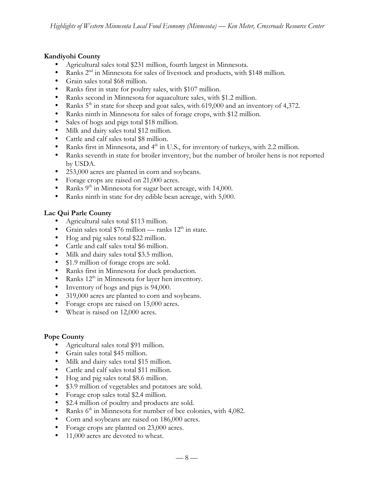#### **Kandiyohi County**

Agricultural sales total \$231 million, fourth largest in Minnesota. Ranks 2<sup>nd</sup> in Minnesota for sales of livestock and products, with \$148 million. Grain sales total \$68 million. Ranks first in state for poultry sales, with \$107 million. Ranks second in Minnesota for aquaculture sales, with \$1.2 million. Ranks  $5<sup>th</sup>$  in state for sheep and goat sales, with 619,000 and an inventory of 4,372. Ranks ninth in Minnesota for sales of forage crops, with \$12 million. Sales of hogs and pigs total \$18 million. Milk and dairy sales total \$12 million. Cattle and calf sales total \$8 million. Ranks first in Minnesota, and 4<sup>th</sup> in U.S., for inventory of turkeys, with 2.2 million. Ranks seventh in state for broiler inventory, but the number of broiler hens is not reported by USDA. 253,000 acres are planted in corn and soybeans. Forage crops are raised on 21,000 acres. Ranks 9<sup>th</sup> in Minnesota for sugar beet acreage, with 14,000. Ranks ninth in state for dry edible bean acreage, with 5,000.

## **Lac Qui Parle County**

Agricultural sales total \$113 million. Grain sales total \$76 million — ranks  $12<sup>th</sup>$  in state. Hog and pig sales total \$22 million. Cattle and calf sales total \$6 million. Milk and dairy sales total \$3.5 million. \$1.9 million of forage crops are sold. Ranks first in Minnesota for duck production. Ranks 12<sup>th</sup> in Minnesota for layer hen inventory. Inventory of hogs and pigs is 94,000. 319,000 acres are planted to corn and soybeans. Forage crops are raised on 15,000 acres. Wheat is raised on 12,000 acres.

#### **Pope County**

Agricultural sales total \$91 million. Grain sales total \$45 million. Milk and dairy sales total \$15 million. Cattle and calf sales total \$11 million. Hog and pig sales total \$8.6 million. \$3.9 million of vegetables and potatoes are sold. Forage crop sales total \$2.4 million. \$2.4 million of poultry and products are sold. Ranks  $6<sup>th</sup>$  in Minnesota for number of bee colonies, with 4,082. Corn and soybeans are raised on 186,000 acres. Forage crops are planted on 23,000 acres. 11,000 acres are devoted to wheat.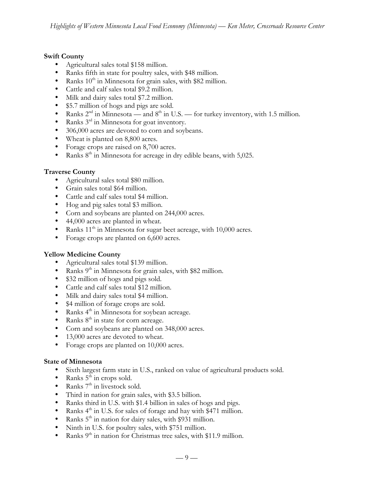#### **Swift County**

Agricultural sales total \$158 million. Ranks fifth in state for poultry sales, with \$48 million. Ranks  $10<sup>th</sup>$  in Minnesota for grain sales, with \$82 million. Cattle and calf sales total \$9.2 million. Milk and dairy sales total \$7.2 million. \$5.7 million of hogs and pigs are sold. Ranks  $2<sup>nd</sup>$  in Minnesota — and  $8<sup>th</sup>$  in U.S. — for turkey inventory, with 1.5 million. Ranks 3rd in Minnesota for goat inventory. 306,000 acres are devoted to corn and soybeans. Wheat is planted on 8,800 acres. Forage crops are raised on 8,700 acres. Ranks  $8<sup>th</sup>$  in Minnesota for acreage in dry edible beans, with 5,025.

#### **Traverse County**

Agricultural sales total \$80 million. Grain sales total \$64 million. Cattle and calf sales total \$4 million. Hog and pig sales total \$3 million. Corn and soybeans are planted on 244,000 acres. 44,000 acres are planted in wheat. Ranks  $11<sup>th</sup>$  in Minnesota for sugar beet acreage, with  $10,000$  acres. Forage crops are planted on 6,600 acres.

#### **Yellow Medicine County**

Agricultural sales total \$139 million. Ranks  $9<sup>th</sup>$  in Minnesota for grain sales, with \$82 million. \$32 million of hogs and pigs sold. Cattle and calf sales total \$12 million. Milk and dairy sales total \$4 million. \$4 million of forage crops are sold. Ranks 4<sup>th</sup> in Minnesota for soybean acreage. Ranks  $8<sup>th</sup>$  in state for corn acreage. Corn and soybeans are planted on 348,000 acres. 13,000 acres are devoted to wheat. Forage crops are planted on 10,000 acres.

## **State of Minnesota**

Sixth largest farm state in U.S., ranked on value of agricultural products sold. Ranks  $5^{\overline{th}}$  in crops sold. Ranks  $7<sup>th</sup>$  in livestock sold. Third in nation for grain sales, with \$3.5 billion. Ranks third in U.S. with \$1.4 billion in sales of hogs and pigs. Ranks  $4<sup>th</sup>$  in U.S. for sales of forage and hay with  $\frac{2471}{100}$  million. Ranks 5<sup>th</sup> in nation for dairy sales, with \$931 million. Ninth in U.S. for poultry sales, with \$751 million. Ranks 9<sup>th</sup> in nation for Christmas tree sales, with \$11.9 million.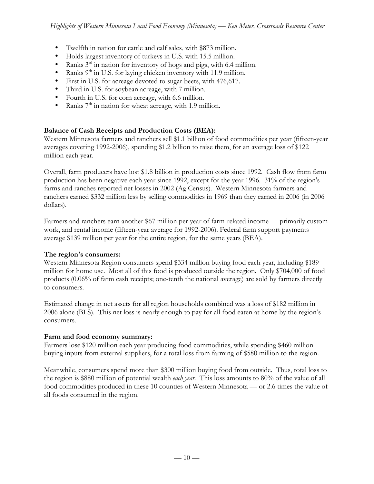Twelfth in nation for cattle and calf sales, with \$873 million. Holds largest inventory of turkeys in U.S. with 15.5 million. Ranks  $3<sup>rd</sup>$  in nation for inventory of hogs and pigs, with 6.4 million. Ranks  $9<sup>th</sup>$  in U.S. for laying chicken inventory with 11.9 million. First in U.S. for acreage devoted to sugar beets, with 476,617. Third in U.S. for soybean acreage, with 7 million. Fourth in U.S. for corn acreage, with 6.6 million. Ranks  $7<sup>th</sup>$  in nation for wheat acreage, with 1.9 million.

## **Balance of Cash Receipts and Production Costs (BEA):**

Western Minnesota farmers and ranchers sell \$1.1 billion of food commodities per year (fifteen-year averages covering 1992-2006), spending \$1.2 billion to raise them, for an average loss of \$122 million each year.

Overall, farm producers have lost \$1.8 billion in production costs since 1992. Cash flow from farm production has been negative each year since 1992, except for the year 1996. 31% of the region's farms and ranches reported net losses in 2002 (Ag Census). Western Minnesota farmers and ranchers earned \$332 million less by selling commodities in 1969 than they earned in 2006 (in 2006 dollars).

Farmers and ranchers earn another \$67 million per year of farm-related income — primarily custom work, and rental income (fifteen-year average for 1992-2006). Federal farm support payments average \$139 million per year for the entire region, for the same years (BEA).

#### **The region's consumers:**

Western Minnesota Region consumers spend \$334 million buying food each year, including \$189 million for home use. Most all of this food is produced outside the region. Only \$704,000 of food products (0.06% of farm cash receipts; one-tenth the national average) are sold by farmers directly to consumers.

Estimated change in net assets for all region households combined was a loss of \$182 million in 2006 alone (BLS). This net loss is nearly enough to pay for all food eaten at home by the region's consumers.

#### **Farm and food economy summary:**

Farmers lose \$120 million each year producing food commodities, while spending \$460 million buying inputs from external suppliers, for a total loss from farming of \$580 million to the region.

Meanwhile, consumers spend more than \$300 million buying food from outside. Thus, total loss to the region is \$880 million of potential wealth *each year*. This loss amounts to 80% of the value of all food commodities produced in these 10 counties of Western Minnesota — or 2.6 times the value of all foods consumed in the region.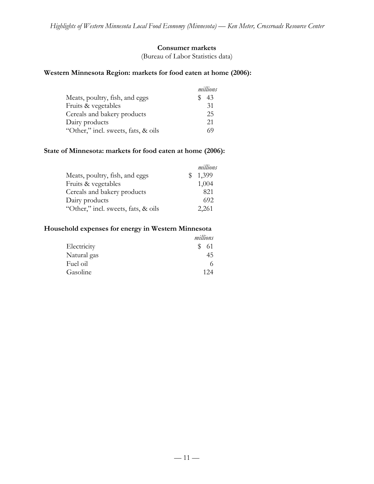## **Consumer markets**

(Bureau of Labor Statistics data)

## **Western Minnesota Region: markets for food eaten at home (2006):**

|                                     | millions |
|-------------------------------------|----------|
| Meats, poultry, fish, and eggs      | 43       |
| Fruits & vegetables                 | 31       |
| Cereals and bakery products         | 25       |
| Dairy products                      | 21       |
| "Other," incl. sweets, fats, & oils | 69       |

#### **State of Minnesota: markets for food eaten at home (2006):**

|                                     |    | millions |
|-------------------------------------|----|----------|
| Meats, poultry, fish, and eggs      | SS | 1,399    |
| Fruits & vegetables                 |    | 1,004    |
| Cereals and bakery products         |    | 821      |
| Dairy products                      |    | 692      |
| "Other," incl. sweets, fats, & oils |    | 2,261    |

## **Household expenses for energy in Western Minnesota**

|             | millions  |
|-------------|-----------|
| Electricity | S.<br>-61 |
| Natural gas | 45        |
| Fuel oil    |           |
| Gasoline    | 124       |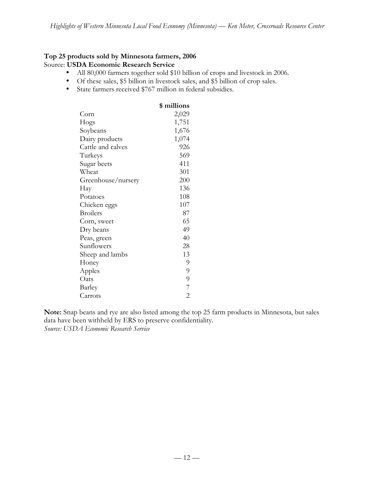#### **Top 25 products sold by Minnesota farmers, 2006** Source: **USDA Economic Research Service**

All 80,000 farmers together sold \$10 billion of crops and livestock in 2006. Of these sales, \$5 billion in livestock sales, and \$5 billion of crop sales. State farmers received \$767 million in federal subsidies.

|                    | \$ millions    |
|--------------------|----------------|
| Corn               | 2,029          |
| Hogs               | 1,751          |
| Soybeans           | 1,676          |
| Dairy products     | 1,074          |
| Cattle and calves  | 926            |
| Turkeys            | 569            |
| Sugar beets        | 411            |
| Wheat              | 301            |
| Greenhouse/nursery | 200            |
| Hay                | 136            |
| Potatoes           | 108            |
| Chicken eggs       | 107            |
| <b>Broilers</b>    | 87             |
| Corn, sweet        | 65             |
| Dry beans          | 49             |
| Peas, green        | 40             |
| Sunflowers         | 28             |
| Sheep and lambs    | 13             |
| Honey              | 9              |
| Apples             | 9              |
| Oats               | 9              |
| Barley             | $\overline{7}$ |
| Carrots            | $\overline{2}$ |

**Note:** Snap beans and rye are also listed among the top 25 farm products in Minnesota, but sales data have been withheld by ERS to preserve confidentiality. *Source: USDA Economic Research Service*